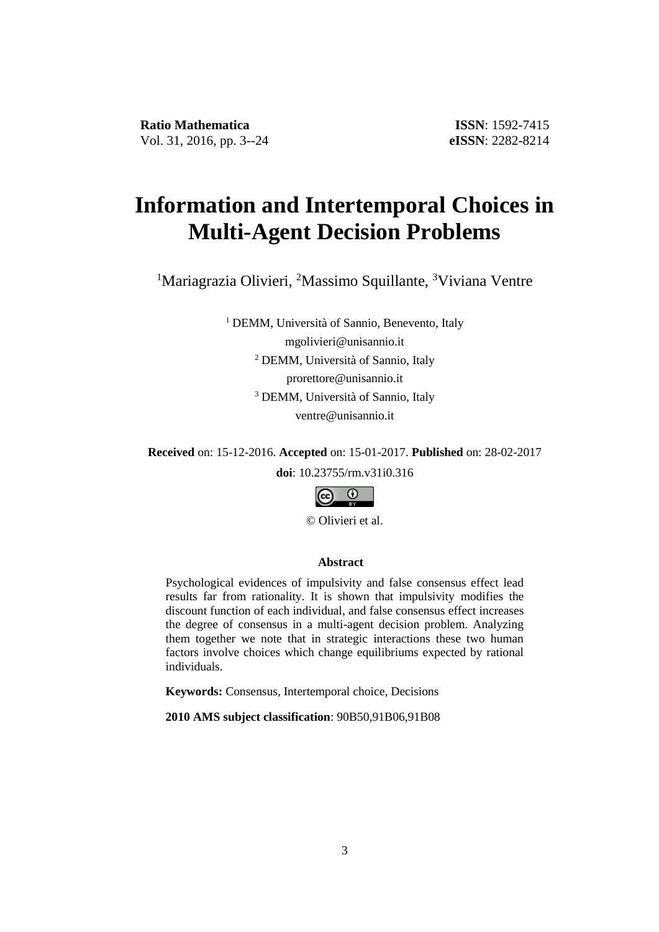# **Information and Intertemporal Choices in Multi-Agent Decision Problems**

<sup>1</sup>Mariagrazia Olivieri, <sup>2</sup>Massimo Squillante, <sup>3</sup>Viviana Ventre

<sup>1</sup> DEMM, Università of Sannio, Benevento, Italy mgolivieri@unisannio.it <sup>2</sup> DEMM, Università of Sannio, Italy prorettore@unisannio.it <sup>3</sup> DEMM, Università of Sannio, Italy ventre@unisannio.it

**Received** on: 15-12-2016. **Accepted** on: 15-01-2017. **Published** on: 28-02-2017

**doi**: 10.23755/rm.v31i0.316



© Olivieri et al.

### **Abstract**

Psychological evidences of impulsivity and false consensus effect lead results far from rationality. It is shown that impulsivity modifies the discount function of each individual, and false consensus effect increases the degree of consensus in a multi-agent decision problem. Analyzing them together we note that in strategic interactions these two human factors involve choices which change equilibriums expected by rational individuals.

**Keywords:** Consensus, Intertemporal choice, Decisions

**2010 AMS subject classification**: 90B50,91B06,91B08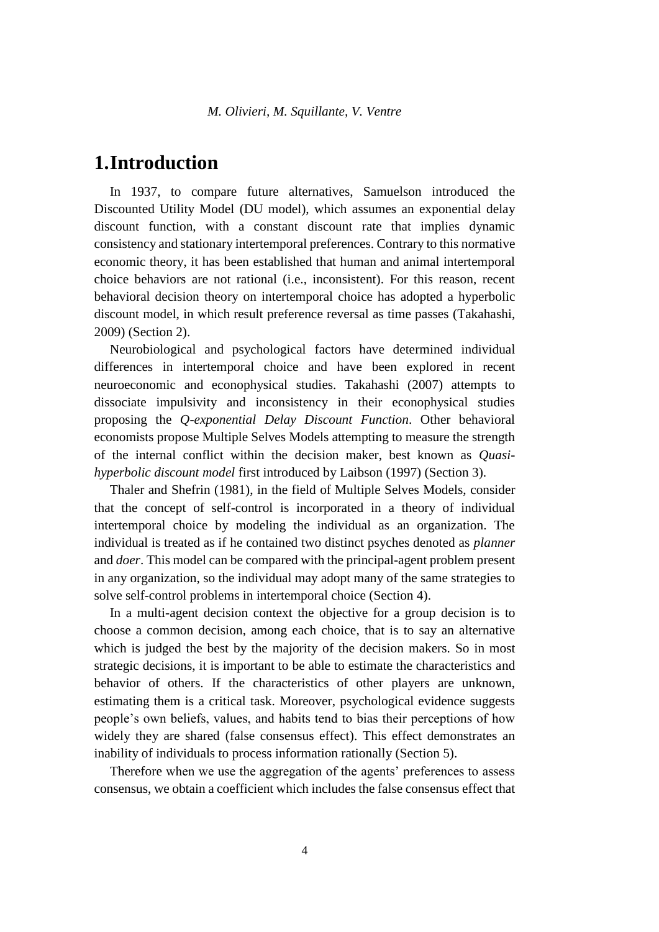### **1.Introduction**

In 1937, to compare future alternatives, Samuelson introduced the Discounted Utility Model (DU model), which assumes an exponential delay discount function, with a constant discount rate that implies dynamic consistency and stationary intertemporal preferences. Contrary to this normative economic theory, it has been established that human and animal intertemporal choice behaviors are not rational (i.e., inconsistent). For this reason, recent behavioral decision theory on intertemporal choice has adopted a hyperbolic discount model, in which result preference reversal as time passes (Takahashi, 2009) (Section 2).

Neurobiological and psychological factors have determined individual differences in intertemporal choice and have been explored in recent neuroeconomic and econophysical studies. Takahashi (2007) attempts to dissociate impulsivity and inconsistency in their econophysical studies proposing the *Q-exponential Delay Discount Function*. Other behavioral economists propose Multiple Selves Models attempting to measure the strength of the internal conflict within the decision maker, best known as *Quasihyperbolic discount model* first introduced by Laibson (1997) (Section 3).

Thaler and Shefrin (1981), in the field of Multiple Selves Models, consider that the concept of self-control is incorporated in a theory of individual intertemporal choice by modeling the individual as an organization. The individual is treated as if he contained two distinct psyches denoted as *planner* and *doer*. This model can be compared with the principal-agent problem present in any organization, so the individual may adopt many of the same strategies to solve self-control problems in intertemporal choice (Section 4).

In a multi-agent decision context the objective for a group decision is to choose a common decision, among each choice, that is to say an alternative which is judged the best by the majority of the decision makers. So in most strategic decisions, it is important to be able to estimate the characteristics and behavior of others. If the characteristics of other players are unknown, estimating them is a critical task. Moreover, psychological evidence suggests people's own beliefs, values, and habits tend to bias their perceptions of how widely they are shared (false consensus effect). This effect demonstrates an inability of individuals to process information rationally (Section 5).

Therefore when we use the aggregation of the agents' preferences to assess consensus, we obtain a coefficient which includes the false consensus effect that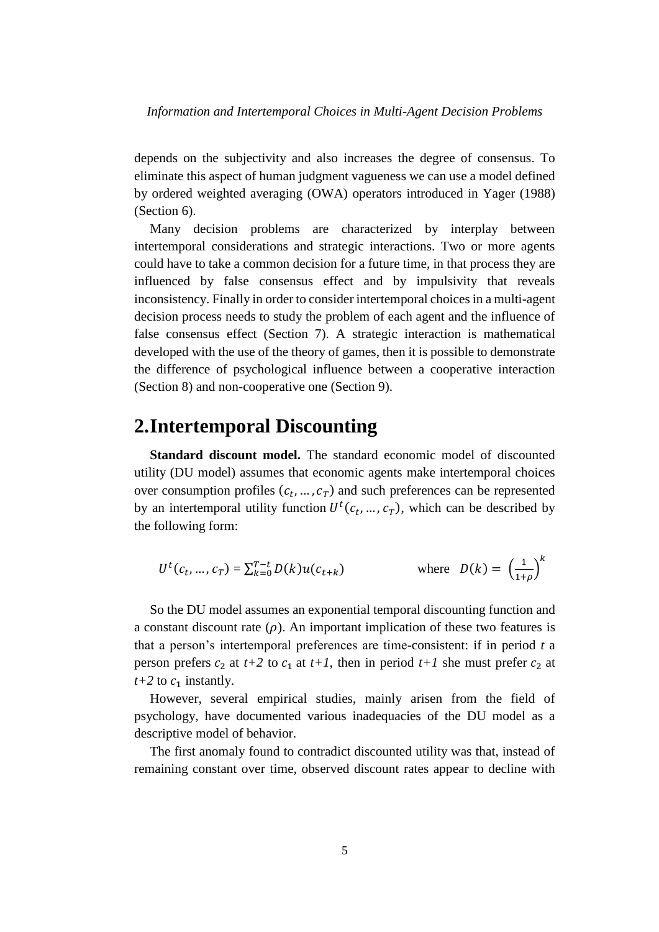depends on the subjectivity and also increases the degree of consensus. To eliminate this aspect of human judgment vagueness we can use a model defined by ordered weighted averaging (OWA) operators introduced in Yager (1988) (Section 6).

Many decision problems are characterized by interplay between intertemporal considerations and strategic interactions. Two or more agents could have to take a common decision for a future time, in that process they are influenced by false consensus effect and by impulsivity that reveals inconsistency. Finally in order to consider intertemporal choices in a multi-agent decision process needs to study the problem of each agent and the influence of false consensus effect (Section 7). A strategic interaction is mathematical developed with the use of the theory of games, then it is possible to demonstrate the difference of psychological influence between a cooperative interaction (Section 8) and non-cooperative one (Section 9).

## **2.Intertemporal Discounting**

**Standard discount model.** The standard economic model of discounted utility (DU model) assumes that economic agents make intertemporal choices over consumption profiles  $(c_t, ..., c_T)$  and such preferences can be represented by an intertemporal utility function  $U^t(c_t, ..., c_T)$ , which can be described by the following form:

$$
U^{t}(c_{t},...,c_{T}) = \sum_{k=0}^{T-t} D(k)u(c_{t+k}) \qquad \text{where} \ \ D(k) = \left(\frac{1}{1+\rho}\right)^{k}
$$

So the DU model assumes an exponential temporal discounting function and a constant discount rate  $(\rho)$ . An important implication of these two features is that a person's intertemporal preferences are time-consistent: if in period *t* a person prefers  $c_2$  at  $t+2$  to  $c_1$  at  $t+1$ , then in period  $t+1$  she must prefer  $c_2$  at  $t+2$  to  $c_1$  instantly.

However, several empirical studies, mainly arisen from the field of psychology, have documented various inadequacies of the DU model as a descriptive model of behavior.

The first anomaly found to contradict discounted utility was that, instead of remaining constant over time, observed discount rates appear to decline with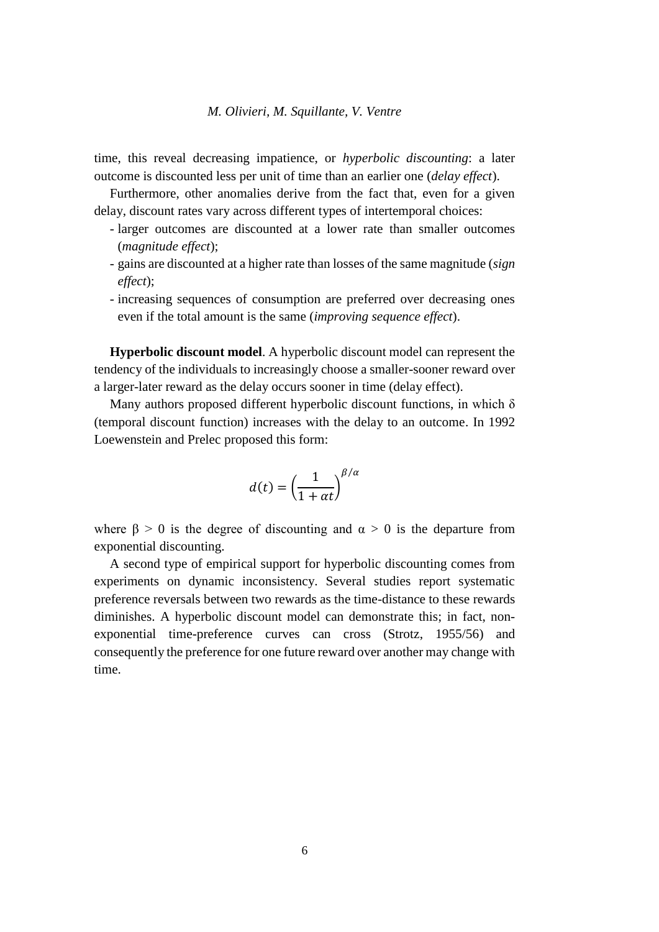time, this reveal decreasing impatience, or *hyperbolic discounting*: a later outcome is discounted less per unit of time than an earlier one (*delay effect*).

Furthermore, other anomalies derive from the fact that, even for a given delay, discount rates vary across different types of intertemporal choices:

- larger outcomes are discounted at a lower rate than smaller outcomes (*magnitude effect*);
- gains are discounted at a higher rate than losses of the same magnitude (*sign effect*);
- increasing sequences of consumption are preferred over decreasing ones even if the total amount is the same (*improving sequence effect*).

**Hyperbolic discount model**. A hyperbolic discount model can represent the tendency of the individuals to increasingly choose a smaller-sooner reward over a larger-later reward as the delay occurs sooner in time (delay effect).

Many authors proposed different hyperbolic discount functions, in which  $\delta$ (temporal discount function) increases with the delay to an outcome. In 1992 Loewenstein and Prelec proposed this form:

$$
d(t) = \left(\frac{1}{1 + \alpha t}\right)^{\beta/\alpha}
$$

where  $\beta > 0$  is the degree of discounting and  $\alpha > 0$  is the departure from exponential discounting.

A second type of empirical support for hyperbolic discounting comes from experiments on dynamic inconsistency. Several studies report systematic preference reversals between two rewards as the time-distance to these rewards diminishes. A hyperbolic discount model can demonstrate this; in fact, nonexponential time-preference curves can cross (Strotz, 1955/56) and consequently the preference for one future reward over another may change with time.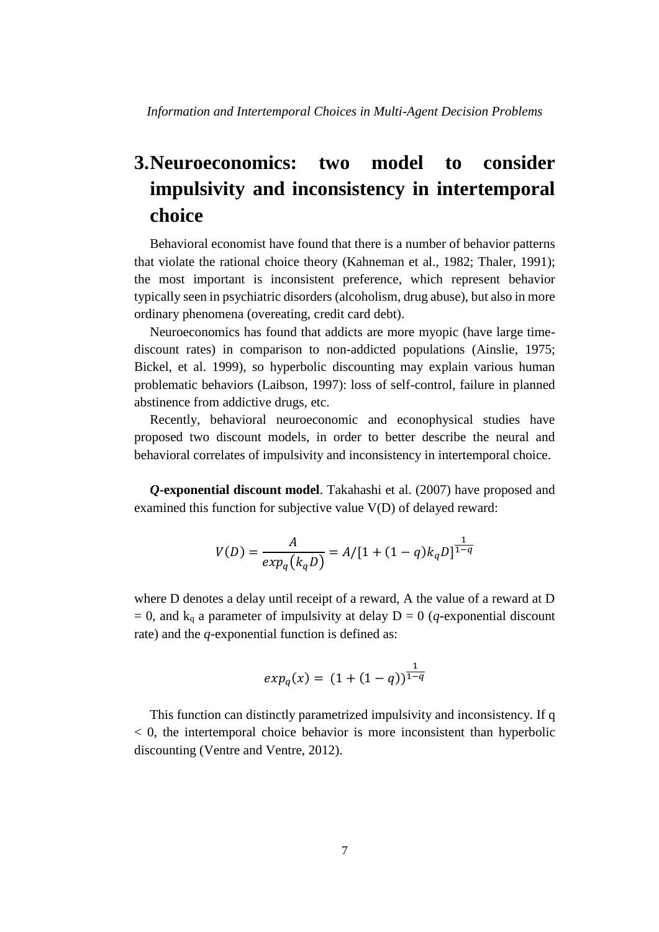## **3.Neuroeconomics: two model to consider impulsivity and inconsistency in intertemporal choice**

Behavioral economist have found that there is a number of behavior patterns that violate the rational choice theory (Kahneman et al., 1982; Thaler, 1991); the most important is inconsistent preference, which represent behavior typically seen in psychiatric disorders (alcoholism, drug abuse), but also in more ordinary phenomena (overeating, credit card debt).

Neuroeconomics has found that addicts are more myopic (have large timediscount rates) in comparison to non-addicted populations (Ainslie, 1975; Bickel, et al. 1999), so hyperbolic discounting may explain various human problematic behaviors (Laibson, 1997): loss of self-control, failure in planned abstinence from addictive drugs, etc.

Recently, behavioral neuroeconomic and econophysical studies have proposed two discount models, in order to better describe the neural and behavioral correlates of impulsivity and inconsistency in intertemporal choice.

*Q***-exponential discount model**. Takahashi et al. (2007) have proposed and examined this function for subjective value V(D) of delayed reward:

$$
V(D) = \frac{A}{exp_q(k_qD)} = A/[1 + (1 - q)k_qD]^{\frac{1}{1 - q}}
$$

where D denotes a delay until receipt of a reward, A the value of a reward at D  $= 0$ , and k<sub>q</sub> a parameter of impulsivity at delay D = 0 (*q*-exponential discount rate) and the *q*-exponential function is defined as:

$$
exp_q(x) = (1 + (1 - q))^{\frac{1}{1 - q}}
$$

This function can distinctly parametrized impulsivity and inconsistency. If q  $< 0$ , the intertemporal choice behavior is more inconsistent than hyperbolic discounting (Ventre and Ventre, 2012).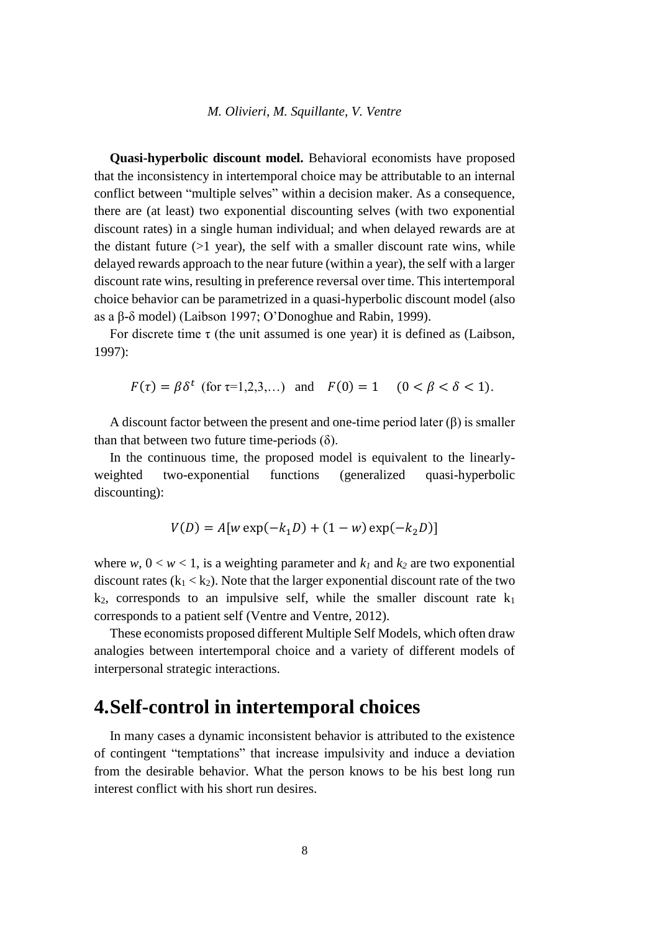**Quasi-hyperbolic discount model.** Behavioral economists have proposed that the inconsistency in intertemporal choice may be attributable to an internal conflict between "multiple selves" within a decision maker. As a consequence, there are (at least) two exponential discounting selves (with two exponential discount rates) in a single human individual; and when delayed rewards are at the distant future  $(>1$  year), the self with a smaller discount rate wins, while delayed rewards approach to the near future (within a year), the self with a larger discount rate wins, resulting in preference reversal over time. This intertemporal choice behavior can be parametrized in a quasi-hyperbolic discount model (also as a β-δ model) (Laibson 1997; O'Donoghue and Rabin, 1999).

For discrete time  $\tau$  (the unit assumed is one year) it is defined as (Laibson, 1997):

 $F(\tau) = \beta \delta^t$  (for  $\tau = 1, 2, 3, ...$ ) and  $F(0) = 1$  ( $0 < \beta < \delta < 1$ ).

A discount factor between the present and one-time period later  $(\beta)$  is smaller than that between two future time-periods  $(\delta)$ .

In the continuous time, the proposed model is equivalent to the linearlyweighted two-exponential functions (generalized quasi-hyperbolic discounting):

$$
V(D) = A[w \exp(-k_1 D) + (1 - w) \exp(-k_2 D)]
$$

where  $w, 0 \lt w \lt 1$ , is a weighting parameter and  $k_l$  and  $k_2$  are two exponential discount rates  $(k_1 < k_2)$ . Note that the larger exponential discount rate of the two  $k_2$ , corresponds to an impulsive self, while the smaller discount rate  $k_1$ corresponds to a patient self (Ventre and Ventre, 2012).

These economists proposed different Multiple Self Models, which often draw analogies between intertemporal choice and a variety of different models of interpersonal strategic interactions.

### **4.Self-control in intertemporal choices**

In many cases a dynamic inconsistent behavior is attributed to the existence of contingent "temptations" that increase impulsivity and induce a deviation from the desirable behavior. What the person knows to be his best long run interest conflict with his short run desires.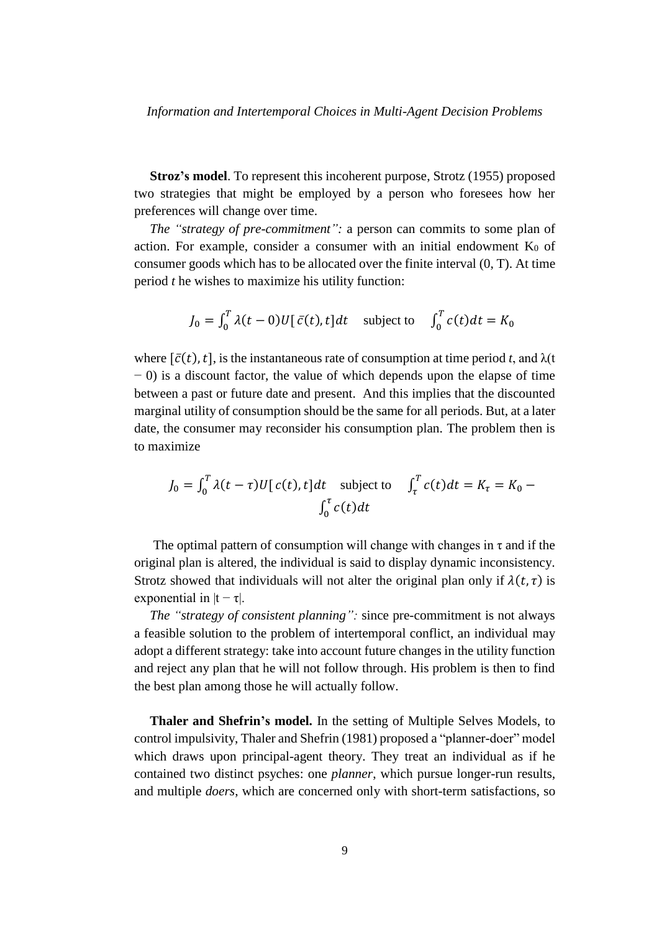**Stroz's model**. To represent this incoherent purpose, Strotz (1955) proposed two strategies that might be employed by a person who foresees how her preferences will change over time.

*The "strategy of pre-commitment":* a person can commits to some plan of action. For example, consider a consumer with an initial endowment  $K_0$  of consumer goods which has to be allocated over the finite interval (0, T). At time period *t* he wishes to maximize his utility function:

$$
J_0 = \int_0^T \lambda(t-0)U[\,\bar{c}(t),t]dt \quad \text{subject to} \quad \int_0^T c(t)dt = K_0
$$

where  $[\bar{c}(t), t]$ , is the instantaneous rate of consumption at time period *t*, and  $\lambda(t)$ − 0) is a discount factor, the value of which depends upon the elapse of time between a past or future date and present. And this implies that the discounted marginal utility of consumption should be the same for all periods. But, at a later date, the consumer may reconsider his consumption plan. The problem then is to maximize

$$
J_0 = \int_0^T \lambda(t - \tau) U[c(t), t] dt \quad \text{subject to} \quad \int_\tau^T c(t) dt = K_\tau = K_0 - \int_0^\tau c(t) dt
$$

The optimal pattern of consumption will change with changes in  $\tau$  and if the original plan is altered, the individual is said to display dynamic inconsistency. Strotz showed that individuals will not alter the original plan only if  $\lambda(t, \tau)$  is exponential in  $|t - \tau|$ .

*The "strategy of consistent planning":* since pre-commitment is not always a feasible solution to the problem of intertemporal conflict, an individual may adopt a different strategy: take into account future changes in the utility function and reject any plan that he will not follow through. His problem is then to find the best plan among those he will actually follow.

**Thaler and Shefrin's model.** In the setting of Multiple Selves Models, to control impulsivity, Thaler and Shefrin (1981) proposed a "planner-doer" model which draws upon principal-agent theory. They treat an individual as if he contained two distinct psyches: one *planner*, which pursue longer-run results, and multiple *doers*, which are concerned only with short-term satisfactions, so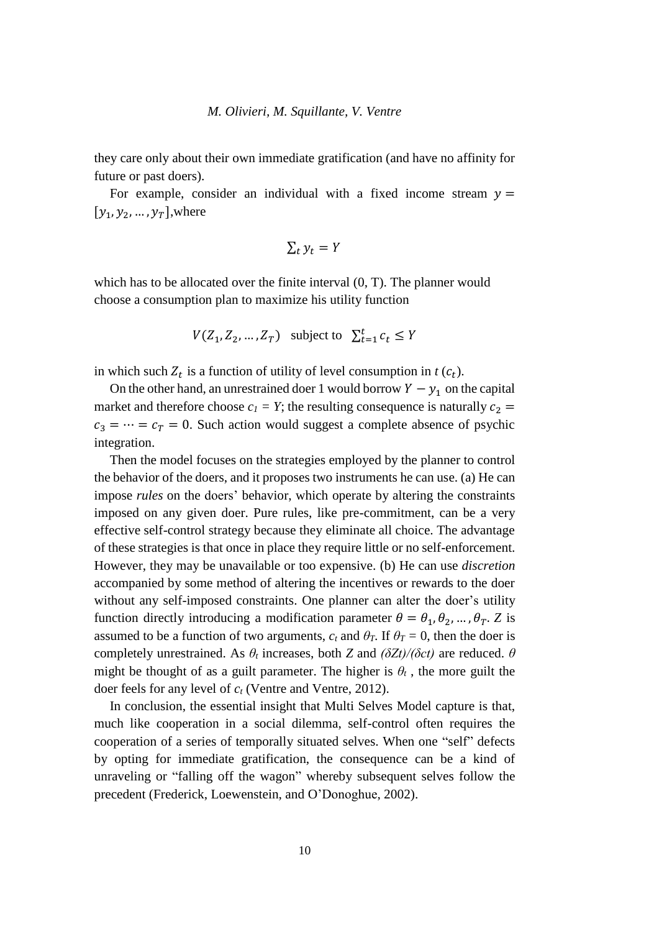they care only about their own immediate gratification (and have no affinity for future or past doers).

For example, consider an individual with a fixed income stream  $y =$  $[y_1, y_2, ..., y_T]$ , where

$$
\sum_t y_t = Y
$$

which has to be allocated over the finite interval  $(0, T)$ . The planner would choose a consumption plan to maximize his utility function

$$
V(Z_1, Z_2, ..., Z_T) \quad \text{subject to} \quad \sum_{t=1}^t c_t \le Y
$$

in which such  $Z_t$  is a function of utility of level consumption in  $t$  ( $c_t$ ).

On the other hand, an unrestrained doer 1 would borrow  $Y - y_1$  on the capital market and therefore choose  $c_1 = Y$ ; the resulting consequence is naturally  $c_2 =$  $c_3 = \cdots = c_T = 0$ . Such action would suggest a complete absence of psychic integration.

Then the model focuses on the strategies employed by the planner to control the behavior of the doers, and it proposes two instruments he can use. (a) He can impose *rules* on the doers' behavior, which operate by altering the constraints imposed on any given doer. Pure rules, like pre-commitment, can be a very effective self-control strategy because they eliminate all choice. The advantage of these strategies is that once in place they require little or no self-enforcement. However, they may be unavailable or too expensive. (b) He can use *discretion*  accompanied by some method of altering the incentives or rewards to the doer without any self-imposed constraints. One planner can alter the doer's utility function directly introducing a modification parameter  $\theta = \theta_1, \theta_2, ..., \theta_T$ . Z is assumed to be a function of two arguments,  $c_t$  and  $\theta_T$ . If  $\theta_T = 0$ , then the doer is completely unrestrained. As *θ<sup>t</sup>* increases, both *Z* and *(δZt)/(δct)* are reduced. *θ* might be thought of as a guilt parameter. The higher is  $\theta_t$ , the more guilt the doer feels for any level of *c<sup>t</sup>* (Ventre and Ventre, 2012).

In conclusion, the essential insight that Multi Selves Model capture is that, much like cooperation in a social dilemma, self-control often requires the cooperation of a series of temporally situated selves. When one "self" defects by opting for immediate gratification, the consequence can be a kind of unraveling or "falling off the wagon" whereby subsequent selves follow the precedent (Frederick, Loewenstein, and O'Donoghue, 2002).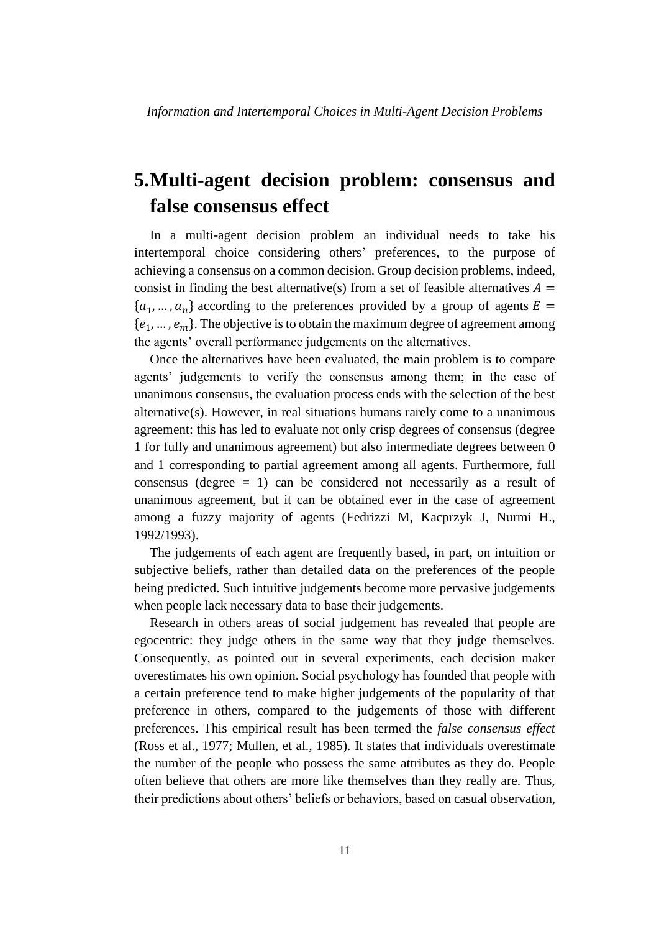## **5.Multi-agent decision problem: consensus and false consensus effect**

In a multi-agent decision problem an individual needs to take his intertemporal choice considering others' preferences, to the purpose of achieving a consensus on a common decision. Group decision problems, indeed, consist in finding the best alternative(s) from a set of feasible alternatives  $A =$  $\{a_1, ..., a_n\}$  according to the preferences provided by a group of agents  $E =$  ${e_1, ..., e_m}$ . The objective is to obtain the maximum degree of agreement among the agents' overall performance judgements on the alternatives.

Once the alternatives have been evaluated, the main problem is to compare agents' judgements to verify the consensus among them; in the case of unanimous consensus, the evaluation process ends with the selection of the best alternative(s). However, in real situations humans rarely come to a unanimous agreement: this has led to evaluate not only crisp degrees of consensus (degree 1 for fully and unanimous agreement) but also intermediate degrees between 0 and 1 corresponding to partial agreement among all agents. Furthermore, full consensus (degree  $= 1$ ) can be considered not necessarily as a result of unanimous agreement, but it can be obtained ever in the case of agreement among a fuzzy majority of agents (Fedrizzi M, Kacprzyk J, Nurmi H., 1992/1993).

The judgements of each agent are frequently based, in part, on intuition or subjective beliefs, rather than detailed data on the preferences of the people being predicted. Such intuitive judgements become more pervasive judgements when people lack necessary data to base their judgements.

Research in others areas of social judgement has revealed that people are egocentric: they judge others in the same way that they judge themselves. Consequently, as pointed out in several experiments, each decision maker overestimates his own opinion. Social psychology has founded that people with a certain preference tend to make higher judgements of the popularity of that preference in others, compared to the judgements of those with different preferences. This empirical result has been termed the *false consensus effect* (Ross et al., 1977; Mullen, et al., 1985). It states that individuals overestimate the number of the people who possess the same attributes as they do. People often believe that others are more like themselves than they really are. Thus, their predictions about others' beliefs or behaviors, based on casual observation,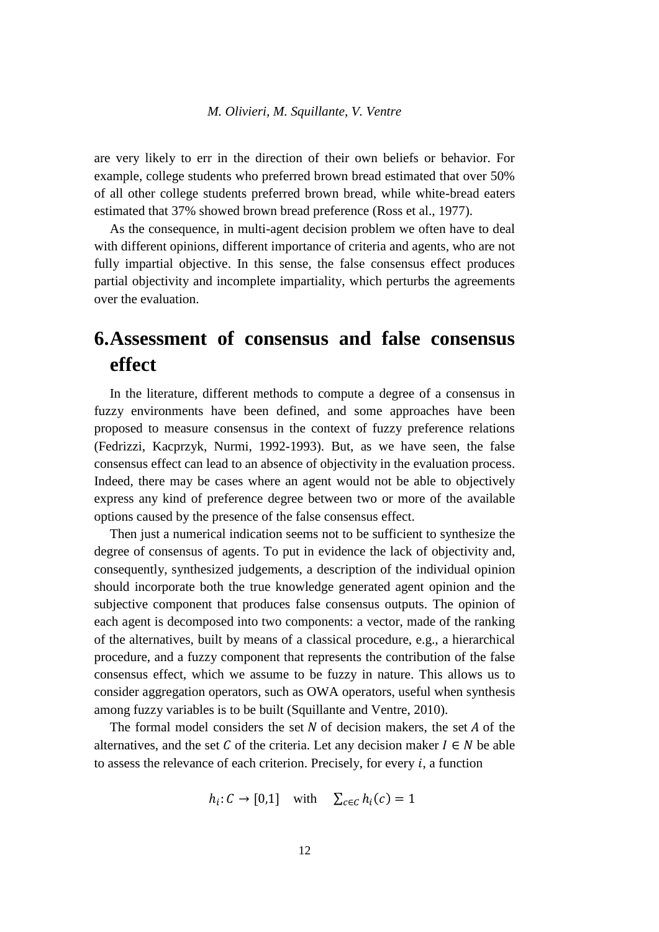are very likely to err in the direction of their own beliefs or behavior. For example, college students who preferred brown bread estimated that over 50% of all other college students preferred brown bread, while white-bread eaters estimated that 37% showed brown bread preference (Ross et al., 1977).

As the consequence, in multi-agent decision problem we often have to deal with different opinions, different importance of criteria and agents, who are not fully impartial objective. In this sense, the false consensus effect produces partial objectivity and incomplete impartiality, which perturbs the agreements over the evaluation.

## **6.Assessment of consensus and false consensus effect**

In the literature, different methods to compute a degree of a consensus in fuzzy environments have been defined, and some approaches have been proposed to measure consensus in the context of fuzzy preference relations (Fedrizzi, Kacprzyk, Nurmi, 1992-1993). But, as we have seen, the false consensus effect can lead to an absence of objectivity in the evaluation process. Indeed, there may be cases where an agent would not be able to objectively express any kind of preference degree between two or more of the available options caused by the presence of the false consensus effect.

Then just a numerical indication seems not to be sufficient to synthesize the degree of consensus of agents. To put in evidence the lack of objectivity and, consequently, synthesized judgements, a description of the individual opinion should incorporate both the true knowledge generated agent opinion and the subjective component that produces false consensus outputs. The opinion of each agent is decomposed into two components: a vector, made of the ranking of the alternatives, built by means of a classical procedure, e.g., a hierarchical procedure, and a fuzzy component that represents the contribution of the false consensus effect, which we assume to be fuzzy in nature. This allows us to consider aggregation operators, such as OWA operators, useful when synthesis among fuzzy variables is to be built (Squillante and Ventre, 2010).

The formal model considers the set  $N$  of decision makers, the set  $A$  of the alternatives, and the set C of the criteria. Let any decision maker  $I \in N$  be able to assess the relevance of each criterion. Precisely, for every  $i$ , a function

$$
h_i: C \to [0,1] \quad \text{with} \quad \sum_{c \in C} h_i(c) = 1
$$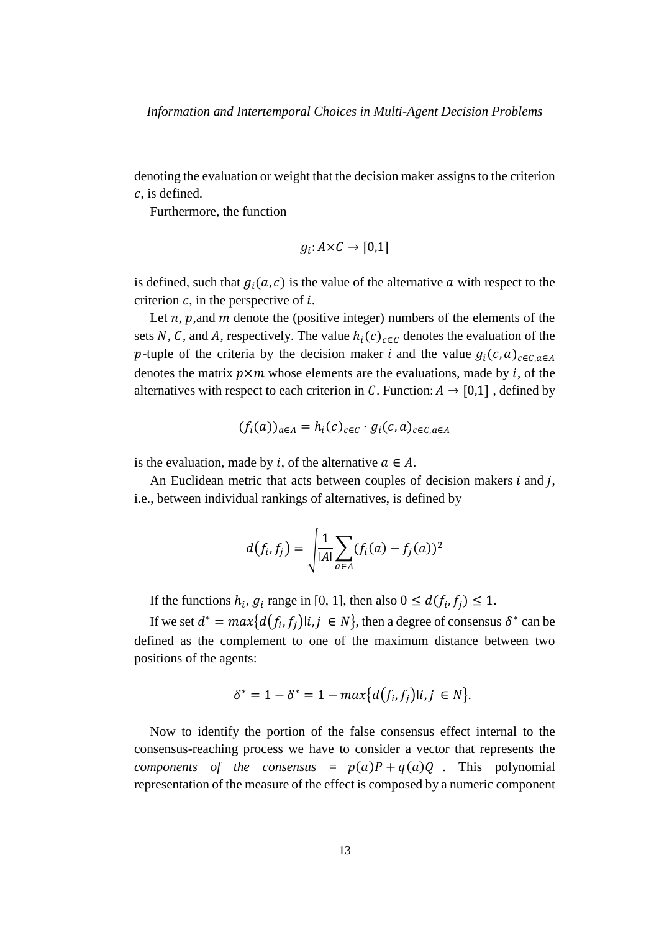denoting the evaluation or weight that the decision maker assigns to the criterion  $c$ , is defined.

Furthermore, the function

$$
g_i: A \times C \rightarrow [0,1]
$$

is defined, such that  $g_i(a, c)$  is the value of the alternative  $a$  with respect to the criterion  $c$ , in the perspective of  $i$ .

Let  $n$ ,  $p$ , and  $m$  denote the (positive integer) numbers of the elements of the sets N, C, and A, respectively. The value  $h_i(c)_{c \in C}$  denotes the evaluation of the p-tuple of the criteria by the decision maker *i* and the value  $g_i(c, a)_{c \in C, a \in A}$ denotes the matrix  $p \times m$  whose elements are the evaluations, made by i, of the alternatives with respect to each criterion in C. Function:  $A \rightarrow [0,1]$ , defined by

$$
(f_i(a))_{a \in A} = h_i(c)_{c \in C} \cdot g_i(c, a)_{c \in C, a \in A}
$$

is the evaluation, made by *i*, of the alternative  $a \in A$ .

An Euclidean metric that acts between couples of decision makers  $i$  and  $j$ , i.e., between individual rankings of alternatives, is defined by

$$
d(f_i, f_j) = \sqrt{\frac{1}{|A|} \sum_{a \in A} (f_i(a) - f_j(a))^2}
$$

If the functions  $h_i$ ,  $g_i$  range in [0, 1], then also  $0 \leq d(f_i, f_j) \leq 1$ .

If we set  $d^* = max\{d(f_i, f_j)|i,j \in N\}$ , then a degree of consensus  $\delta^*$  can be defined as the complement to one of the maximum distance between two positions of the agents:

$$
\delta^* = 1 - \delta^* = 1 - \max\{d(f_i, f_j)|i, j \in N\}.
$$

Now to identify the portion of the false consensus effect internal to the consensus-reaching process we have to consider a vector that represents the *components of the consensus* =  $p(a)P + q(a)Q$ . This polynomial representation of the measure of the effect is composed by a numeric component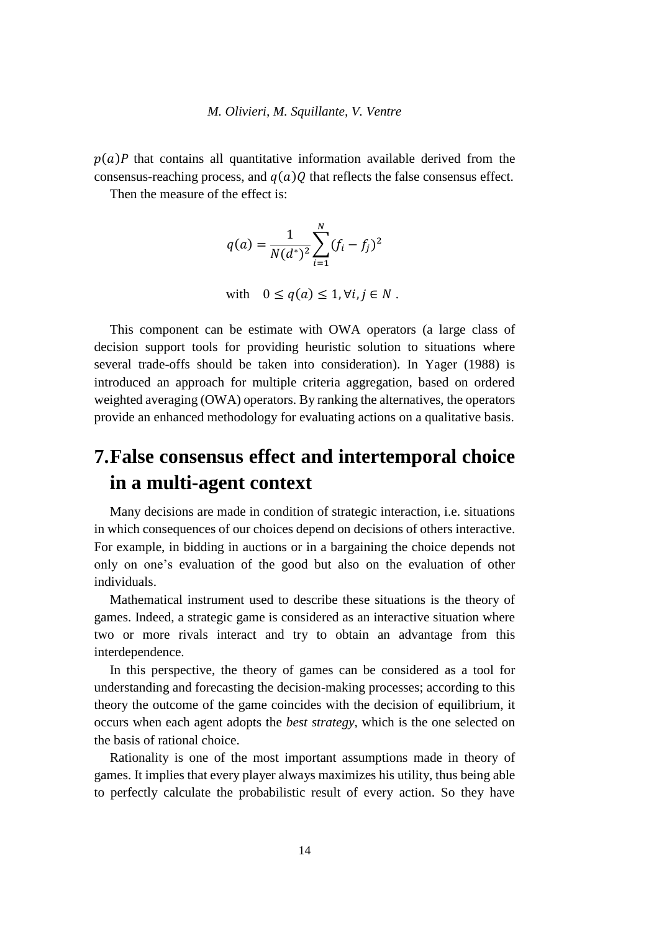$p(a)P$  that contains all quantitative information available derived from the consensus-reaching process, and  $q(a)Q$  that reflects the false consensus effect.

Then the measure of the effect is:

$$
q(a) = \frac{1}{N(d^*)^2} \sum_{i=1}^N (f_i - f_j)^2
$$

with 
$$
0 \le q(a) \le 1, \forall i, j \in N
$$
.

This component can be estimate with OWA operators (a large class of decision support tools for providing heuristic solution to situations where several trade-offs should be taken into consideration). In Yager (1988) is introduced an approach for multiple criteria aggregation, based on ordered weighted averaging (OWA) operators. By ranking the alternatives, the operators provide an enhanced methodology for evaluating actions on a qualitative basis.

## **7.False consensus effect and intertemporal choice in a multi-agent context**

Many decisions are made in condition of strategic interaction, i.e. situations in which consequences of our choices depend on decisions of others interactive. For example, in bidding in auctions or in a bargaining the choice depends not only on one's evaluation of the good but also on the evaluation of other individuals.

Mathematical instrument used to describe these situations is the theory of games. Indeed, a strategic game is considered as an interactive situation where two or more rivals interact and try to obtain an advantage from this interdependence.

In this perspective, the theory of games can be considered as a tool for understanding and forecasting the decision-making processes; according to this theory the outcome of the game coincides with the decision of equilibrium, it occurs when each agent adopts the *best strategy*, which is the one selected on the basis of rational choice.

Rationality is one of the most important assumptions made in theory of games. It implies that every player always maximizes his [utility,](http://www.gametheory.net/dictionary/Utility.html) thus being able to perfectly calculate the probabilistic result of every action. So they have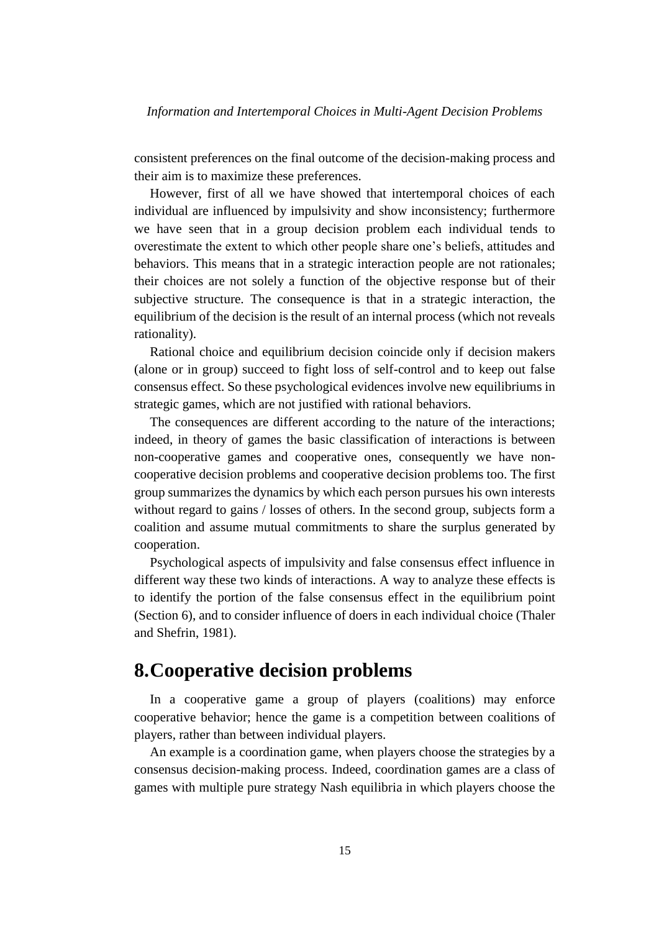consistent preferences on the final outcome of the decision-making process and their aim is to maximize these preferences.

However, first of all we have showed that intertemporal choices of each individual are influenced by impulsivity and show inconsistency; furthermore we have seen that in a group decision problem each individual tends to overestimate the extent to which other people share one's beliefs, attitudes and behaviors. This means that in a strategic interaction people are not rationales; their choices are not solely a function of the objective response but of their subjective structure. The consequence is that in a strategic interaction, the equilibrium of the decision is the result of an internal process (which not reveals rationality).

Rational choice and equilibrium decision coincide only if decision makers (alone or in group) succeed to fight loss of self-control and to keep out false consensus effect. So these psychological evidences involve new equilibriums in strategic games, which are not justified with rational behaviors.

The consequences are different according to the nature of the interactions; indeed, in theory of games the basic classification of interactions is between non-cooperative games and cooperative ones, consequently we have noncooperative decision problems and cooperative decision problems too. The first group summarizes the dynamics by which each person pursues his own interests without regard to gains / losses of others. In the second group, subjects form a coalition and assume mutual commitments to share the surplus generated by cooperation.

Psychological aspects of impulsivity and false consensus effect influence in different way these two kinds of interactions. A way to analyze these effects is to identify the portion of the false consensus effect in the equilibrium point (Section 6), and to consider influence of doers in each individual choice (Thaler and Shefrin, 1981).

### **8.Cooperative decision problems**

In a cooperative game a group of players (coalitions) may enforce cooperative behavior; hence the game is a competition between coalitions of players, rather than between individual players.

An example is a [coordination game,](http://en.wikipedia.org/wiki/Coordination_game) when players choose the strategies by a [consensus decision-making](http://en.wikipedia.org/wiki/Consensus_decision-making) process. Indeed, coordination games are a class of games with multiple [pure strategy](http://en.wikipedia.org/wiki/Pure_strategy) [Nash equilibria](http://en.wikipedia.org/wiki/Nash_equilibrium) in which players choose the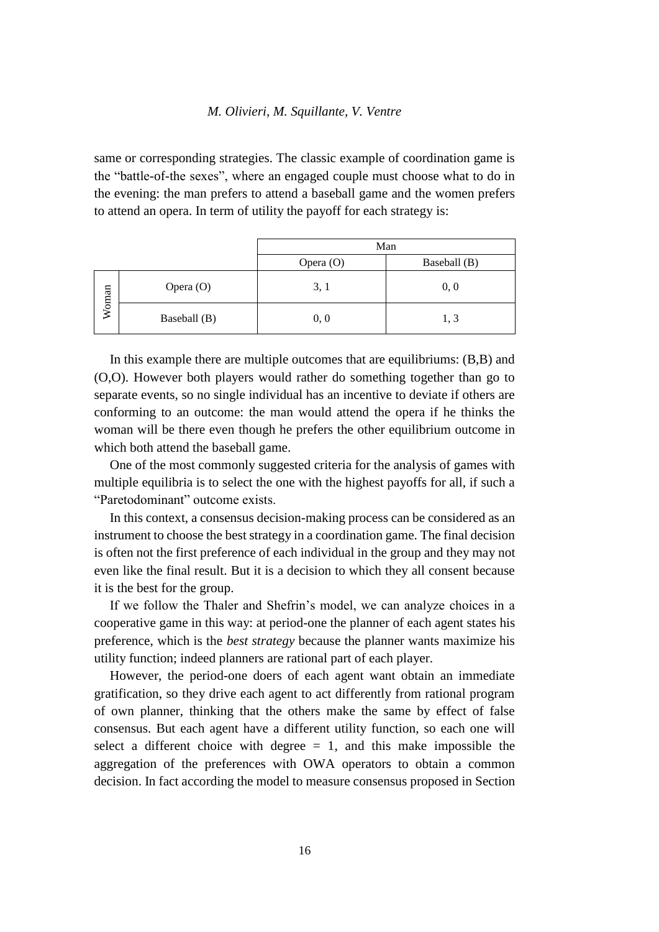same or [corresponding](http://en.wikipedia.org/wiki/Bijection) [strategies.](http://en.wikipedia.org/wiki/Strategy) The classic example of coordination game is the "battle-of-the sexes", where an engaged couple must choose what to do in the evening: the man prefers to attend a baseball game and the women prefers to attend an opera. In term of utility the payoff for each strategy is:

|       |              | Man       |              |
|-------|--------------|-----------|--------------|
|       |              | Opera (O) | Baseball (B) |
| Woman | Opera (O)    | 3, 1      | 0, 0         |
|       | Baseball (B) | 0, 0      | 1, 3         |

In this example there are multiple outcomes that are equilibriums: (B,B) and (O,O). However both players would rather do something together than go to separate events, so no single individual has an incentive to deviate if others are conforming to an outcome: the man would attend the opera if he thinks the woman will be there even though he prefers the other equilibrium outcome in which both attend the baseball game.

One of the most commonly suggested criteria for the analysis of games with multiple equilibria is to select the one with the highest payoffs for all, if such a "Paretodominant" outcome exists.

In this context, a consensus decision-making process can be considered as an instrument to choose the best strategy in a coordination game. The final decision is often not the first preference of each individual in the group and they may not even like the final result. But it is a decision to which they all consent because it is the best for the group.

If we follow the Thaler and Shefrin's model, we can analyze choices in a cooperative game in this way: at period-one the planner of each agent states his preference, which is the *best strategy* because the planner wants maximize his utility function; indeed planners are rational part of each player.

However, the period-one doers of each agent want obtain an immediate gratification, so they drive each agent to act differently from rational program of own planner, thinking that the others make the same by effect of false consensus. But each agent have a different utility function, so each one will select a different choice with degree  $= 1$ , and this make impossible the aggregation of the preferences with OWA operators to obtain a common decision. In fact according the model to measure consensus proposed in Section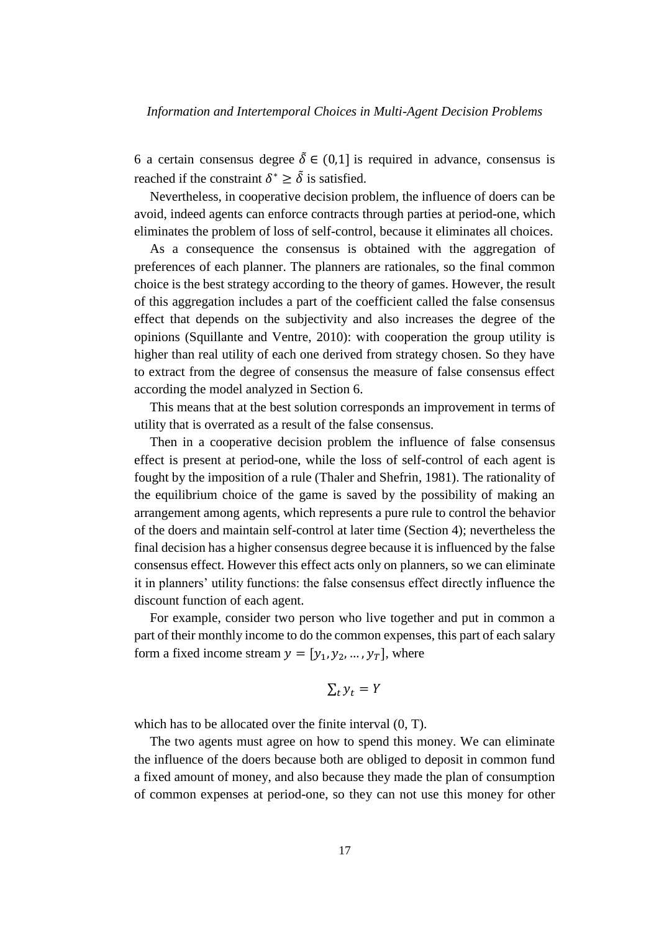6 a certain consensus degree  $\delta \in (0,1]$  is required in advance, consensus is reached if the constraint  $\delta^* \geq \tilde{\delta}$  is satisfied.

Nevertheless, in cooperative decision problem, the influence of doers can be avoid, indeed agents can enforce [contracts](http://en.wikipedia.org/wiki/Contract) through parties at period-one, which eliminates the problem of loss of self-control, because it eliminates all choices.

As a consequence the consensus is obtained with the aggregation of preferences of each planner. The planners are rationales, so the final common choice is the best strategy according to the theory of games. However, the result of this aggregation includes a part of the coefficient called the false consensus effect that depends on the subjectivity and also increases the degree of the opinions (Squillante and Ventre, 2010): with cooperation the group utility is higher than real utility of each one derived from strategy chosen. So they have to extract from the degree of consensus the measure of false consensus effect according the model analyzed in Section 6.

This means that at the best solution corresponds an improvement in terms of utility that is overrated as a result of the false consensus.

Then in a cooperative decision problem the influence of false consensus effect is present at period-one, while the loss of self-control of each agent is fought by the imposition of a rule (Thaler and Shefrin, 1981). The rationality of the equilibrium choice of the game is saved by the possibility of making an arrangement among agents, which represents a pure rule to control the behavior of the doers and maintain self-control at later time (Section 4); nevertheless the final decision has a higher consensus degree because it is influenced by the false consensus effect. However this effect acts only on planners, so we can eliminate it in planners' utility functions: the false consensus effect directly influence the discount function of each agent.

For example, consider two person who live together and put in common a part of their monthly income to do the common expenses, this part of each salary form a fixed income stream  $y = [y_1, y_2, ..., y_T]$ , where

$$
\sum_t y_t = Y
$$

which has to be allocated over the finite interval  $(0, T)$ .

The two agents must agree on how to spend this money. We can eliminate the influence of the doers because both are obliged to deposit in common fund a fixed amount of money, and also because they made the plan of consumption of common expenses at period-one, so they can not use this money for other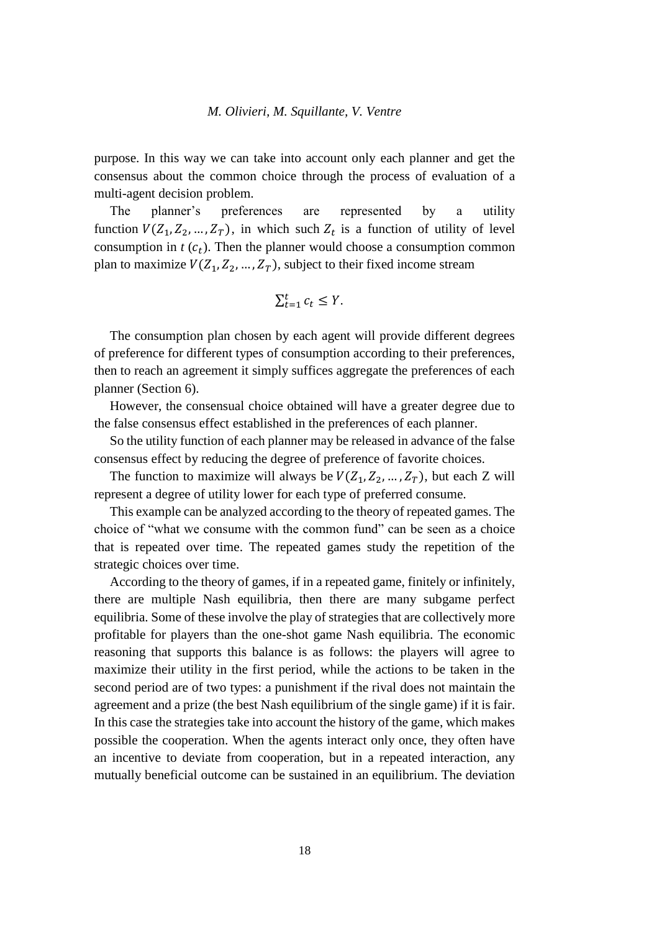purpose. In this way we can take into account only each planner and get the consensus about the common choice through the process of evaluation of a multi-agent decision problem.

The planner's preferences are represented by a utility function  $V(Z_1, Z_2, ..., Z_T)$ , in which such  $Z_t$  is a function of utility of level consumption in  $t$  ( $c_t$ ). Then the planner would choose a consumption common plan to maximize  $V(Z_1, Z_2, ..., Z_T)$ , subject to their fixed income stream

$$
\sum_{t=1}^t c_t \le Y.
$$

The consumption plan chosen by each agent will provide different degrees of preference for different types of consumption according to their preferences, then to reach an agreement it simply suffices aggregate the preferences of each planner (Section 6).

However, the consensual choice obtained will have a greater degree due to the false consensus effect established in the preferences of each planner.

So the utility function of each planner may be released in advance of the false consensus effect by reducing the degree of preference of favorite choices.

The function to maximize will always be  $V(Z_1, Z_2, ..., Z_T)$ , but each Z will represent a degree of utility lower for each type of preferred consume.

This example can be analyzed according to the theory of repeated games. The choice of "what we consume with the common fund" can be seen as a choice that is repeated over time. The repeated games study the repetition of the strategic choices over time.

According to the theory of games, if in a repeated game, finitely or infinitely, there are multiple Nash equilibria, then there are many subgame perfect equilibria. Some of these involve the play of strategies that are collectively more profitable for players than the one-shot game Nash equilibria. The economic reasoning that supports this balance is as follows: the players will agree to maximize their utility in the first period, while the actions to be taken in the second period are of two types: a punishment if the rival does not maintain the agreement and a prize (the best Nash equilibrium of the single game) if it is fair. In this case the strategies take into account the history of the game, which makes possible the cooperation. When the agents interact only once, they often have an incentive to deviate from cooperation, but in a repeated interaction, any mutually beneficial outcome can be sustained in an equilibrium. The deviation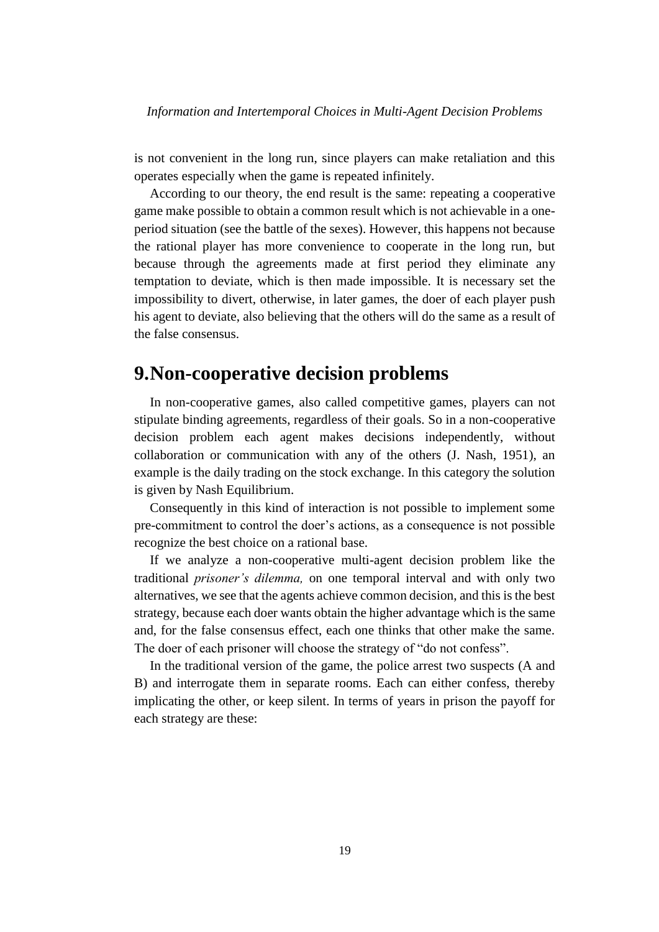is not convenient in the long run, since players can make retaliation and this operates especially when the game is repeated infinitely.

According to our theory, the end result is the same: repeating a cooperative game make possible to obtain a common result which is not achievable in a oneperiod situation (see the battle of the sexes). However, this happens not because the rational player has more convenience to cooperate in the long run, but because through the agreements made at first period they eliminate any temptation to deviate, which is then made impossible. It is necessary set the impossibility to divert, otherwise, in later games, the doer of each player push his agent to deviate, also believing that the others will do the same as a result of the false consensus.

### **9.Non-cooperative decision problems**

In non-cooperative games, also called competitive games, players can not stipulate binding agreements, regardless of their goals. So in a non-cooperative decision problem each agent makes decisions independently, without collaboration or communication with any of the others (J. Nash, 1951), an example is the daily trading on the stock exchange. In this category the solution is given by Nash Equilibrium.

Consequently in this kind of interaction is not possible to implement some pre-commitment to control the doer's actions, as a consequence is not possible recognize the best choice on a rational base.

If we analyze a non-cooperative multi-agent decision problem like the traditional *prisoner's dilemma,* on one temporal interval and with only two alternatives, we see that the agents achieve common decision, and this is the best strategy, because each doer wants obtain the higher advantage which is the same and, for the false consensus effect, each one thinks that other make the same. The doer of each prisoner will choose the strategy of "do not confess".

In the traditional version of the game, the police arrest two suspects (A and B) and interrogate them in separate rooms. Each can either confess, thereby implicating the other, or keep silent. In terms of years in prison the payoff for each strategy are these: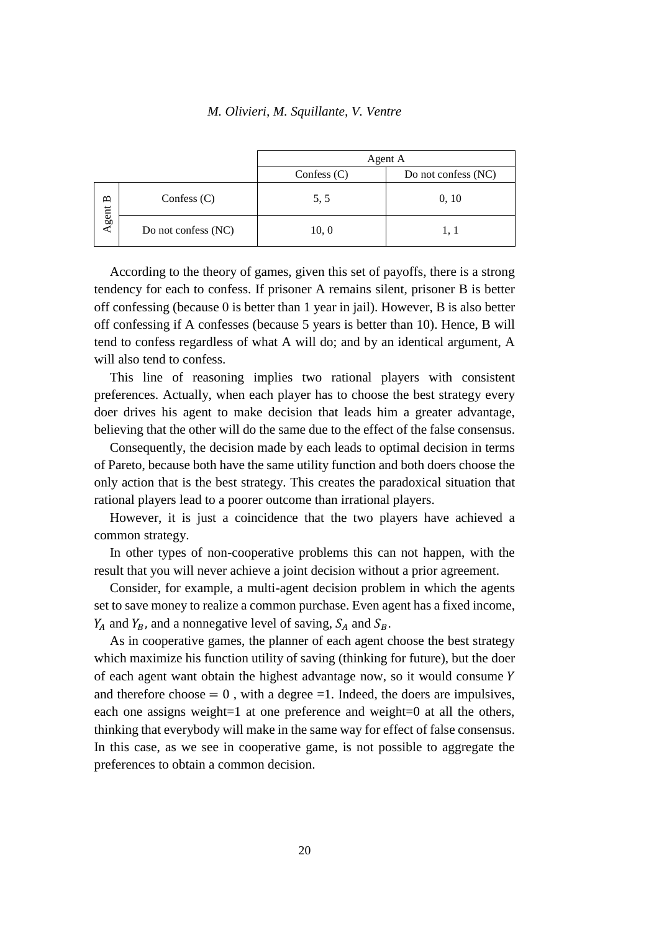|         |                     | Agent A       |                     |
|---------|---------------------|---------------|---------------------|
|         |                     | Confess $(C)$ | Do not confess (NC) |
| Agent B | Confess $(C)$       | 5.5           | 0, 10               |
|         | Do not confess (NC) | 10, 0         | 1, 1                |

According to the theory of games, given this set of payoffs, there is a strong tendency for each to confess. If prisoner A remains silent, prisoner B is better off confessing (because 0 is better than 1 year in jail). However, B is also better off confessing if A confesses (because 5 years is better than 10). Hence, B will tend to confess regardless of what A will do; and by an identical argument, A will also tend to confess.

This line of reasoning implies two rational players with consistent preferences. Actually, when each player has to choose the best strategy every doer drives his agent to make decision that leads him a greater advantage, believing that the other will do the same due to the effect of the false consensus.

Consequently, the decision made by each leads to optimal decision in terms of Pareto, because both have the same utility function and both doers choose the only action that is the best strategy. This creates the paradoxical situation that rational players lead to a poorer outcome than irrational players.

However, it is just a coincidence that the two players have achieved a common strategy.

In other types of non-cooperative problems this can not happen, with the result that you will never achieve a joint decision without a prior agreement.

Consider, for example, a multi-agent decision problem in which the agents set to save money to realize a common purchase. Even agent has a fixed income,  $Y_A$  and  $Y_B$ , and a nonnegative level of saving,  $S_A$  and  $S_B$ .

As in cooperative games, the planner of each agent choose the best strategy which maximize his function utility of saving (thinking for future), but the doer of each agent want obtain the highest advantage now, so it would consume and therefore choose  $= 0$ , with a degree  $= 1$ . Indeed, the doers are impulsives, each one assigns weight=1 at one preference and weight=0 at all the others, thinking that everybody will make in the same way for effect of false consensus. In this case, as we see in cooperative game, is not possible to aggregate the preferences to obtain a common decision.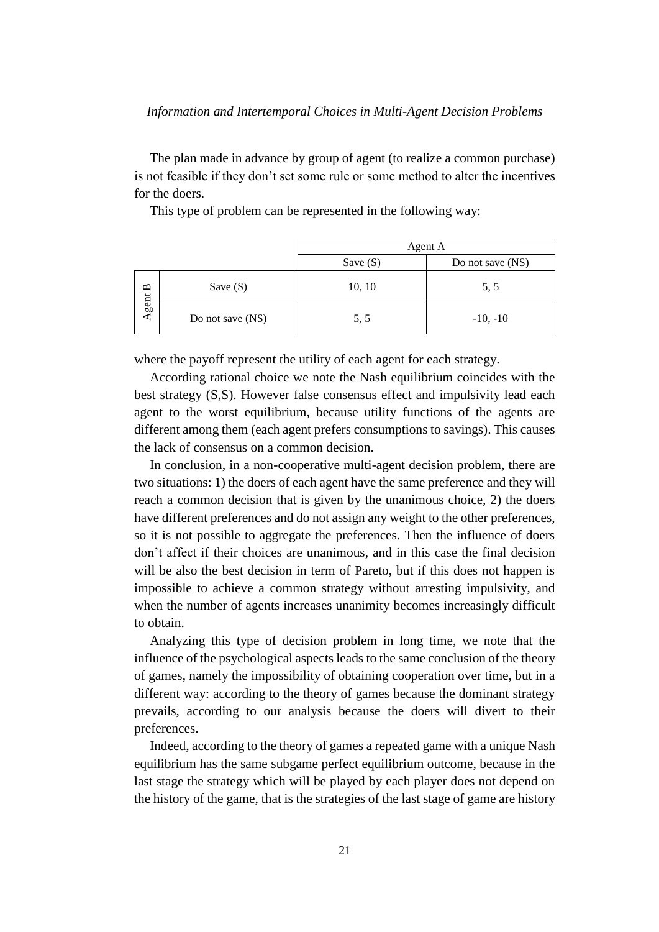### *Information and Intertemporal Choices in Multi-Agent Decision Problems*

The plan made in advance by group of agent (to realize a common purchase) is not feasible if they don't set some rule or some method to alter the incentives for the doers.

This type of problem can be represented in the following way:

|       |                  | Agent A    |                  |
|-------|------------------|------------|------------------|
|       |                  | Save $(S)$ | Do not save (NS) |
| ≏     | Save $(S)$       | 10, 10     | 5, 5             |
| Agent | Do not save (NS) | 5, 5       | $-10, -10$       |

where the payoff represent the utility of each agent for each strategy.

According rational choice we note the Nash equilibrium coincides with the best strategy (S,S). However false consensus effect and impulsivity lead each agent to the worst equilibrium, because utility functions of the agents are different among them (each agent prefers consumptions to savings). This causes the lack of consensus on a common decision.

In conclusion, in a non-cooperative multi-agent decision problem, there are two situations: 1) the doers of each agent have the same preference and they will reach a common decision that is given by the unanimous choice, 2) the doers have different preferences and do not assign any weight to the other preferences, so it is not possible to aggregate the preferences. Then the influence of doers don't affect if their choices are unanimous, and in this case the final decision will be also the best decision in term of Pareto, but if this does not happen is impossible to achieve a common strategy without arresting impulsivity, and when the number of agents increases unanimity becomes increasingly difficult to obtain.

Analyzing this type of decision problem in long time, we note that the influence of the psychological aspects leads to the same conclusion of the theory of games, namely the impossibility of obtaining cooperation over time, but in a different way: according to the theory of games because the dominant strategy prevails, according to our analysis because the doers will divert to their preferences.

Indeed, according to the theory of games a repeated game with a unique Nash equilibrium has the same subgame perfect equilibrium outcome, because in the last stage the strategy which will be played by each player does not depend on the history of the game, that is the strategies of the last stage of game are history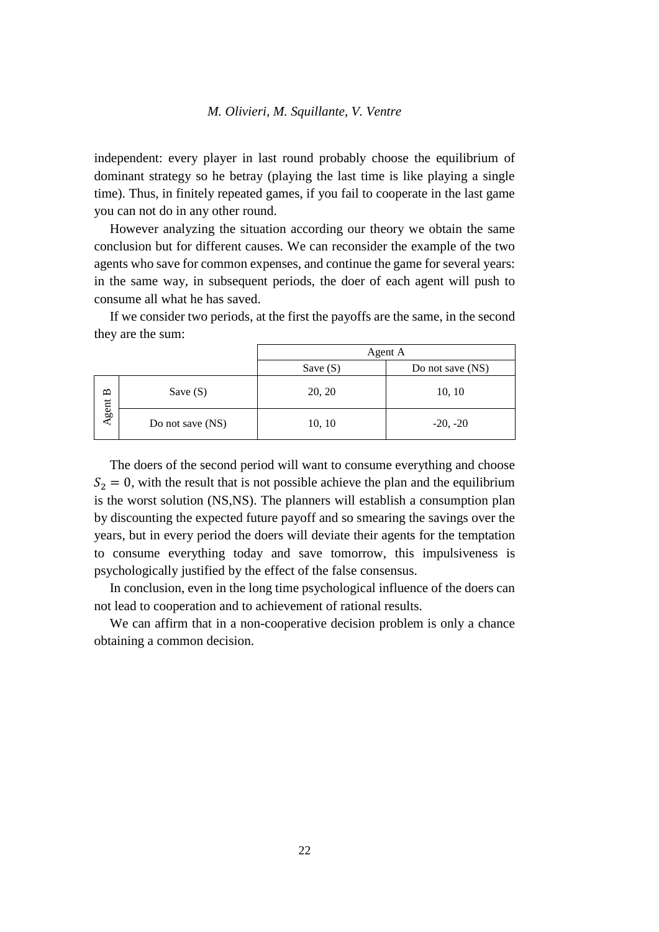independent: every player in last round probably choose the equilibrium of dominant strategy so he betray (playing the last time is like playing a single time). Thus, in finitely repeated games, if you fail to cooperate in the last game you can not do in any other round.

However analyzing the situation according our theory we obtain the same conclusion but for different causes. We can reconsider the example of the two agents who save for common expenses, and continue the game for several years: in the same way, in subsequent periods, the doer of each agent will push to consume all what he has saved.

If we consider two periods, at the first the payoffs are the same, in the second they are the sum:

|         |                  | Agent A    |                  |
|---------|------------------|------------|------------------|
|         |                  | Save $(S)$ | Do not save (NS) |
| Agent B | Save $(S)$       | 20, 20     | 10, 10           |
|         | Do not save (NS) | 10, 10     | $-20, -20$       |

The doers of the second period will want to consume everything and choose  $S_2 = 0$ , with the result that is not possible achieve the plan and the equilibrium is the worst solution (NS,NS). The planners will establish a consumption plan by discounting the expected future payoff and so smearing the savings over the years, but in every period the doers will deviate their agents for the temptation to consume everything today and save tomorrow, this impulsiveness is psychologically justified by the effect of the false consensus.

In conclusion, even in the long time psychological influence of the doers can not lead to cooperation and to achievement of rational results.

We can affirm that in a non-cooperative decision problem is only a chance obtaining a common decision.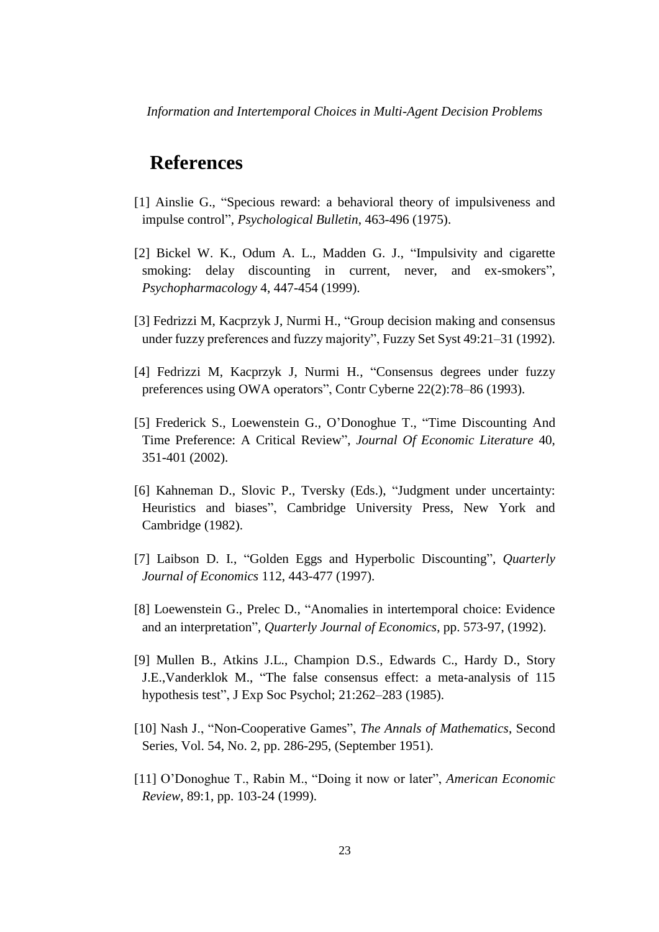*Information and Intertemporal Choices in Multi-Agent Decision Problems*

## **References**

- [1] Ainslie G., "Specious reward: a behavioral theory of impulsiveness and impulse control", *Psychological Bulletin*, 463-496 (1975).
- [2] Bickel W. K., Odum A. L., Madden G. J., "Impulsivity and cigarette smoking: delay discounting in current, never, and ex-smokers", *Psychopharmacology* 4, 447-454 (1999).
- [3] Fedrizzi M, Kacprzyk J, Nurmi H., "Group decision making and consensus under fuzzy preferences and fuzzy majority", Fuzzy Set Syst 49:21–31 (1992).
- [4] Fedrizzi M, Kacprzyk J, Nurmi H., "Consensus degrees under fuzzy preferences using OWA operators", Contr Cyberne 22(2):78–86 (1993).
- [5] Frederick S., Loewenstein G., O'Donoghue T., "Time Discounting And Time Preference: A Critical Review", *Journal Of Economic Literature* 40, 351-401 (2002).
- [6] Kahneman D., Slovic P., Tversky (Eds.), "Judgment under uncertainty: Heuristics and biases", Cambridge University Press, New York and Cambridge (1982).
- [7] Laibson D. I., "Golden Eggs and Hyperbolic Discounting", *Quarterly Journal of Economics* 112, 443-477 (1997).
- [8] Loewenstein G., Prelec D., "Anomalies in intertemporal choice: Evidence and an interpretation", *Quarterly Journal of Economics*, pp. 573-97, (1992).
- [9] Mullen B., Atkins J.L., Champion D.S., Edwards C., Hardy D., Story J.E.,Vanderklok M., "The false consensus effect: a meta-analysis of 115 hypothesis test", J Exp Soc Psychol; 21:262–283 (1985).
- [10] Nash J., "Non-Cooperative Games", *The Annals of Mathematics*, Second Series, Vol. 54, No. 2, pp. 286-295, (September 1951).
- [11] O'Donoghue T., Rabin M., "Doing it now or later", *American Economic Review*, 89:1, pp. 103-24 (1999).